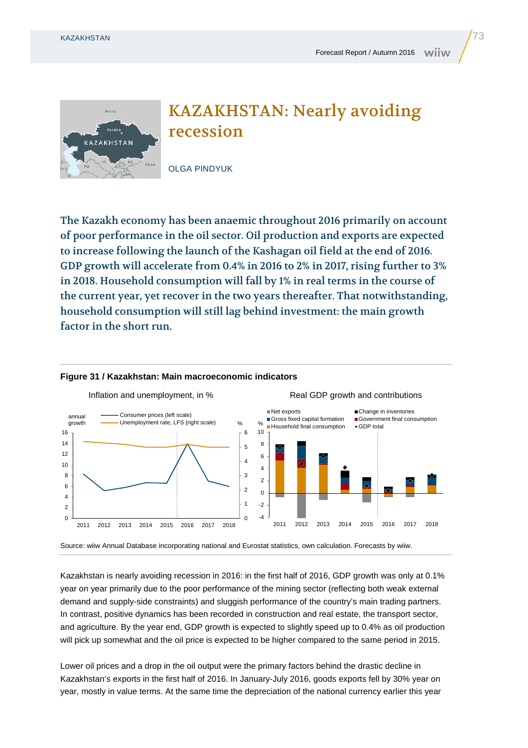

## KAZAKHSTAN: Nearly avoiding recession

OLGA PINDYUK

The Kazakh economy has been anaemic throughout 2016 primarily on account of poor performance in the oil sector. Oil production and exports are expected to increase following the launch of the Kashagan oil field at the end of 2016. GDP growth will accelerate from 0.4% in 2016 to 2% in 2017, rising further to 3% in 2018. Household consumption will fall by 1% in real terms in the course of the current year, yet recover in the two years thereafter. That notwithstanding, household consumption will still lag behind investment: the main growth factor in the short run.



## **Figure 31 / Kazakhstan: Main macroeconomic indicators**

Source: wiiw Annual Database incorporating national and Eurostat statistics, own calculation. Forecasts by wiiw.

Kazakhstan is nearly avoiding recession in 2016: in the first half of 2016, GDP growth was only at 0.1% year on year primarily due to the poor performance of the mining sector (reflecting both weak external demand and supply-side constraints) and sluggish performance of the country's main trading partners. In contrast, positive dynamics has been recorded in construction and real estate, the transport sector, and agriculture. By the year end, GDP growth is expected to slightly speed up to 0.4% as oil production will pick up somewhat and the oil price is expected to be higher compared to the same period in 2015.

Lower oil prices and a drop in the oil output were the primary factors behind the drastic decline in Kazakhstan's exports in the first half of 2016. In January-July 2016, goods exports fell by 30% year on year, mostly in value terms. At the same time the depreciation of the national currency earlier this year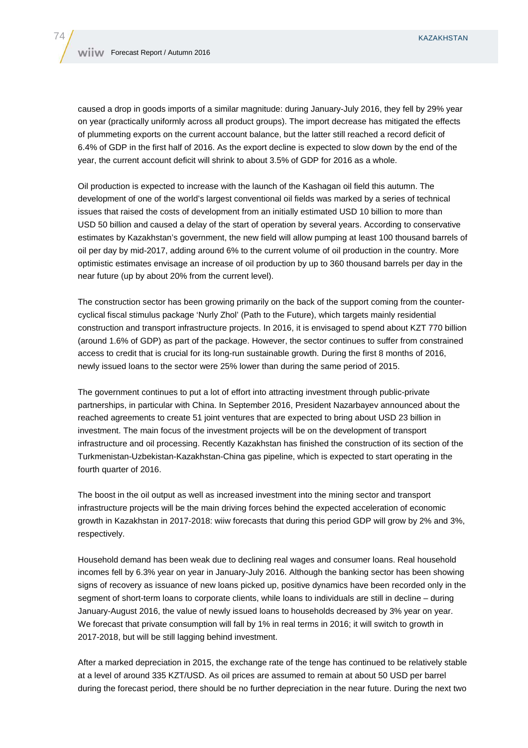caused a drop in goods imports of a similar magnitude: during January-July 2016, they fell by 29% year on year (practically uniformly across all product groups). The import decrease has mitigated the effects of plummeting exports on the current account balance, but the latter still reached a record deficit of 6.4% of GDP in the first half of 2016. As the export decline is expected to slow down by the end of the year, the current account deficit will shrink to about 3.5% of GDP for 2016 as a whole.

Oil production is expected to increase with the launch of the Kashagan oil field this autumn. The development of one of the world's largest conventional oil fields was marked by a series of technical issues that raised the costs of development from an initially estimated USD 10 billion to more than USD 50 billion and caused a delay of the start of operation by several years. According to conservative estimates by Kazakhstan's government, the new field will allow pumping at least 100 thousand barrels of oil per day by mid-2017, adding around 6% to the current volume of oil production in the country. More optimistic estimates envisage an increase of oil production by up to 360 thousand barrels per day in the near future (up by about 20% from the current level).

The construction sector has been growing primarily on the back of the support coming from the countercyclical fiscal stimulus package 'Nurly Zhol' (Path to the Future), which targets mainly residential construction and transport infrastructure projects. In 2016, it is envisaged to spend about KZT 770 billion (around 1.6% of GDP) as part of the package. However, the sector continues to suffer from constrained access to credit that is crucial for its long-run sustainable growth. During the first 8 months of 2016, newly issued loans to the sector were 25% lower than during the same period of 2015.

The government continues to put a lot of effort into attracting investment through public-private partnerships, in particular with China. In September 2016, President Nazarbayev announced about the reached agreements to create 51 joint ventures that are expected to bring about USD 23 billion in investment. The main focus of the investment projects will be on the development of transport infrastructure and oil processing. Recently Kazakhstan has finished the construction of its section of the Turkmenistan-Uzbekistan-Kazakhstan-China gas pipeline, which is expected to start operating in the fourth quarter of 2016.

The boost in the oil output as well as increased investment into the mining sector and transport infrastructure projects will be the main driving forces behind the expected acceleration of economic growth in Kazakhstan in 2017-2018: wiiw forecasts that during this period GDP will grow by 2% and 3%, respectively.

Household demand has been weak due to declining real wages and consumer loans. Real household incomes fell by 6.3% year on year in January-July 2016. Although the banking sector has been showing signs of recovery as issuance of new loans picked up, positive dynamics have been recorded only in the segment of short-term loans to corporate clients, while loans to individuals are still in decline – during January-August 2016, the value of newly issued loans to households decreased by 3% year on year. We forecast that private consumption will fall by 1% in real terms in 2016; it will switch to growth in 2017-2018, but will be still lagging behind investment.

After a marked depreciation in 2015, the exchange rate of the tenge has continued to be relatively stable at a level of around 335 KZT/USD. As oil prices are assumed to remain at about 50 USD per barrel during the forecast period, there should be no further depreciation in the near future. During the next two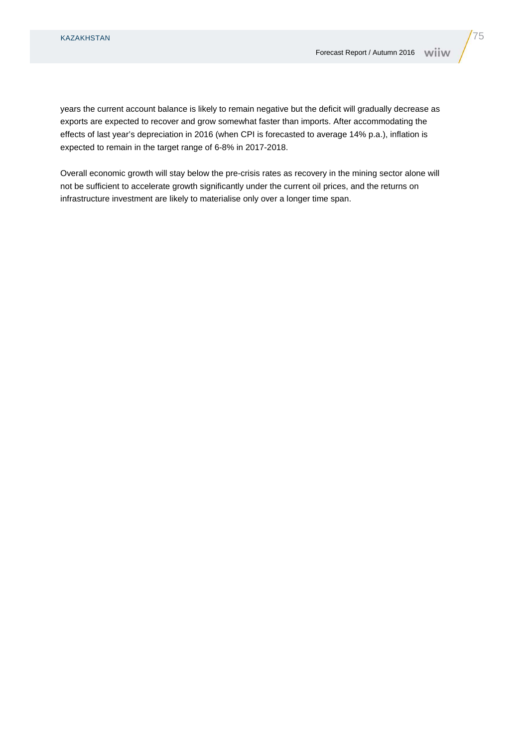years the current account balance is likely to remain negative but the deficit will gradually decrease as exports are expected to recover and grow somewhat faster than imports. After accommodating the effects of last year's depreciation in 2016 (when CPI is forecasted to average 14% p.a.), inflation is expected to remain in the target range of 6-8% in 2017-2018.

Overall economic growth will stay below the pre-crisis rates as recovery in the mining sector alone will not be sufficient to accelerate growth significantly under the current oil prices, and the returns on infrastructure investment are likely to materialise only over a longer time span.